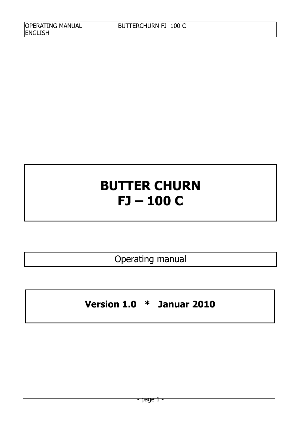# **BUTTER CHURN FJ – 100 C**

Operating manual

**Version 1.0 \* Januar 2010**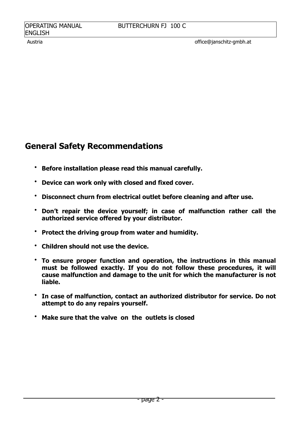## **General Safety Recommendations**

- **Before installation please read this manual carefully.**
- **Device can work only with closed and fixed cover.**
- **Disconnect churn from electrical outlet before cleaning and after use.**
- **Don't repair the device yourself; in case of malfunction rather call the authorized service offered by your distributor.**
- **Protect the driving group from water and humidity.**
- **Children should not use the device.**
- **To ensure proper function and operation, the instructions in this manual must be followed exactly. If you do not follow these procedures, it will cause malfunction and damage to the unit for which the manufacturer is not liable.**
- **In case of malfunction, contact an authorized distributor for service. Do not attempt to do any repairs yourself.**
- **Make sure that the valve on the outlets is closed**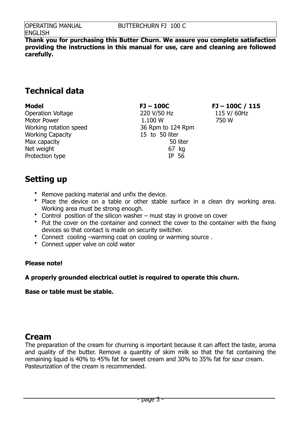**Thank you for purchasing this Butter Churn. We assure you complete satisfaction providing the instructions in this manual for use, care and cleaning are followed carefully.** 

## **Technical data**

Operation Voltage 220 V/50 Hz 115 V/ 60Hz Motor Power 1.100 W 750 W Working rotation speed 36 Rpm to 124 Rpm Working Capacity 15 to 50 liter Max capacity **50** liter Net weight **67** kg Protection type IP 56

**Model FJ – 100C FJ – 100C / 115**

**Setting up** 

- Remove packing material and unfix the device.
- Place the device on a table or other stable surface in a clean dry working area. Working area must be strong enough.
- Control position of the silicon washer must stay in groove on cover
- Put the cover on the container and connect the cover to the container with the fixing devices so that contact is made on security switcher.
- Connect cooling –warming coat on cooling or warming source .
- Connect upper valve on cold water

#### **Please note!**

**A properly grounded electrical outlet is required to operate this churn.**

**Base or table must be stable.**

## **Cream**

The preparation of the cream for churning is important because it can affect the taste, aroma and quality of the butter. Remove a quantity of skim milk so that the fat containing the remaining liquid is 40% to 45% fat for sweet cream and 30% to 35% fat for sour cream. Pasteurization of the cream is recommended.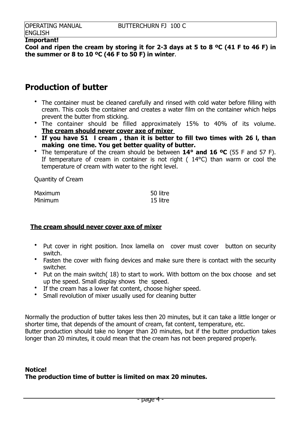#### **Important!**

**Cool and ripen the cream by storing it for 2-3 days at 5 to 8 ºC (41 F to 46 F) in the summer or 8 to 10 ºC (46 F to 50 F) in winter**.

## **Production of butter**

- The container must be cleaned carefully and rinsed with cold water before filling with cream. This cools the container and creates a water film on the container which helps prevent the butter from sticking.
- The container should be filled approximately 15% to 40% of its volume. **The cream should never cover axe of mixer**
- **If you have 51 l cream , than it is better to fill two times with 26 l, than making one time. You get better quality of butter.**
- The temperature of the cream should be between **14° and 16 ºC** (55 F and 57 F). If temperature of cream in container is not right ( 14°C) than warm or cool the temperature of cream with water to the right level.

Quantity of Cream

| Maximum | 50 litre |
|---------|----------|
| Minimum | 15 litre |

#### **The cream should never cover axe of mixer**

- Put cover in right position. Inox lamella on cover must cover button on security switch.
- Fasten the cover with fixing devices and make sure there is contact with the security switcher.
- Put on the main switch( 18) to start to work. With bottom on the box choose and set up the speed. Small display shows the speed.
- If the cream has a lower fat content, choose higher speed.
- Small revolution of mixer usually used for cleaning butter

Normally the production of butter takes less then 20 minutes, but it can take a little longer or shorter time, that depends of the amount of cream, fat content, temperature, etc. Butter production should take no longer than 20 minutes, but if the butter production takes longer than 20 minutes, it could mean that the cream has not been prepared properly.

### **Notice! The production time of butter is limited on max 20 minutes.**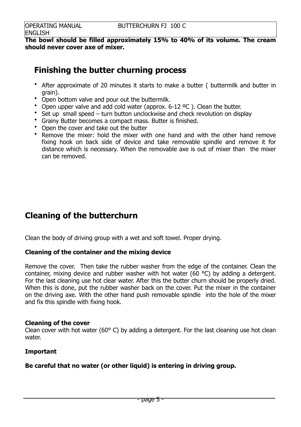**The bowl should be filled approximately 15% to 40% of its volume. The cream should never cover axe of mixer.** 

## **Finishing the butter churning process**

- After approximate of 20 minutes it starts to make a butter ( buttermilk and butter in grain).
- Open bottom valve and pour out the buttermilk.
- Open upper valve and add cold water (approx. 6-12 °C). Clean the butter.
- Set up small speed turn button unclockwise and check revolution on display
- Grainy Butter becomes a compact mass. Butter is finished.
- Open the cover and take out the butter
- Remove the mixer: hold the mixer with one hand and with the other hand remove fixing hook on back side of device and take removable spindle and remove it for distance which is necessary. When the removable axe is out of mixer than the mixer can be removed.

## **Cleaning of the butterchurn**

Clean the body of driving group with a wet and soft towel. Proper drying.

## **Cleaning of the container and the mixing device**

Remove the cover. Then take the rubber washer from the edge of the container. Clean the container, mixing device and rubber washer with hot water (60 °C) by adding a detergent. For the last cleaning use hot clear water. After this the butter churn should be properly dried. When this is done, put the rubber washer back on the cover. Put the mixer in the container on the driving axe. With the other hand push removable spindle into the hole of the mixer and fix this spindle with fixing hook.

#### **Cleaning of the cover**

Clean cover with hot water (60 $^{\circ}$  C) by adding a detergent. For the last cleaning use hot clean water.

#### **Important**

## **Be careful that no water (or other liquid) is entering in driving group.**